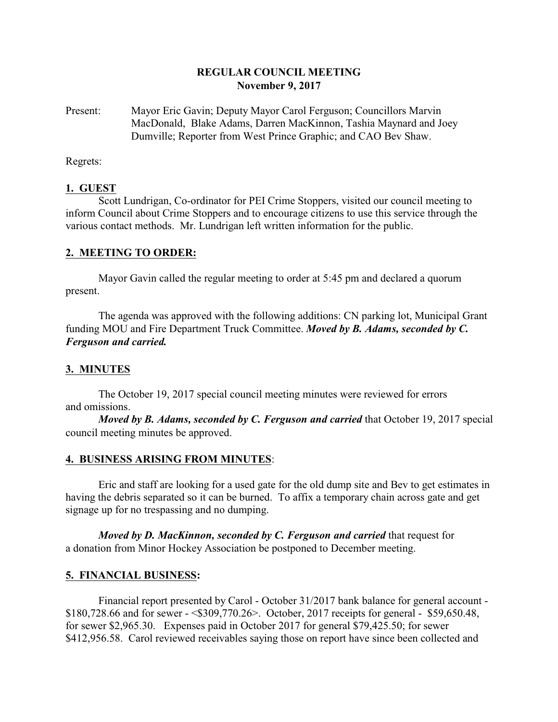### **REGULAR COUNCIL MEETING November 9, 2017**

Present: Mayor Eric Gavin; Deputy Mayor Carol Ferguson; Councillors Marvin MacDonald, Blake Adams, Darren MacKinnon, Tashia Maynard and Joey Dumville; Reporter from West Prince Graphic; and CAO Bev Shaw.

Regrets:

### **1. GUEST**

Scott Lundrigan, Co-ordinator for PEI Crime Stoppers, visited our council meeting to inform Council about Crime Stoppers and to encourage citizens to use this service through the various contact methods. Mr. Lundrigan left written information for the public.

#### **2. MEETING TO ORDER:**

Mayor Gavin called the regular meeting to order at 5:45 pm and declared a quorum present.

The agenda was approved with the following additions: CN parking lot, Municipal Grant funding MOU and Fire Department Truck Committee. *Moved by B. Adams, seconded by C. Ferguson and carried.*

#### **3. MINUTES**

The October 19, 2017 special council meeting minutes were reviewed for errors and omissions.

*Moved by B. Adams, seconded by C. Ferguson and carried* that October 19, 2017 special council meeting minutes be approved.

#### **4. BUSINESS ARISING FROM MINUTES**:

Eric and staff are looking for a used gate for the old dump site and Bev to get estimates in having the debris separated so it can be burned. To affix a temporary chain across gate and get signage up for no trespassing and no dumping.

*Moved by D. MacKinnon, seconded by C. Ferguson and carried* that request for a donation from Minor Hockey Association be postponed to December meeting.

#### **5. FINANCIAL BUSINESS:**

Financial report presented by Carol - October 31/2017 bank balance for general account - \$180,728.66 and for sewer - <\$309,770.26>. October, 2017 receipts for general - \$59,650.48, for sewer \$2,965.30. Expenses paid in October 2017 for general \$79,425.50; for sewer \$412,956.58. Carol reviewed receivables saying those on report have since been collected and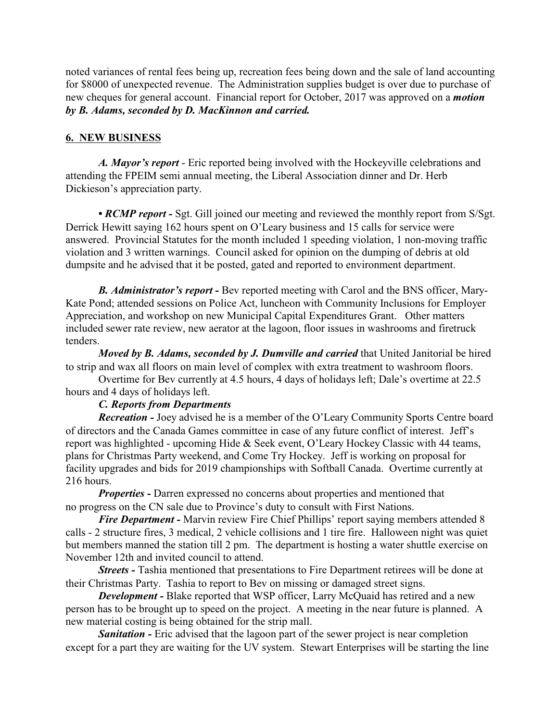noted variances of rental fees being up, recreation fees being down and the sale of land accounting for \$8000 of unexpected revenue. The Administration supplies budget is over due to purchase of new cheques for general account. Financial report for October, 2017 was approved on a *motion by B. Adams, seconded by D. MacKinnon and carried.*

### **6. NEW BUSINESS**

*A. Mayor's report* - Eric reported being involved with the Hockeyville celebrations and attending the FPEIM semi annual meeting, the Liberal Association dinner and Dr. Herb Dickieson's appreciation party.

• *RCMP report* - Sgt. Gill joined our meeting and reviewed the monthly report from S/Sgt. Derrick Hewitt saying 162 hours spent on O'Leary business and 15 calls for service were answered. Provincial Statutes for the month included 1 speeding violation, 1 non-moving traffic violation and 3 written warnings. Council asked for opinion on the dumping of debris at old dumpsite and he advised that it be posted, gated and reported to environment department.

*B. Administrator's report -* Bev reported meeting with Carol and the BNS officer, Mary-Kate Pond; attended sessions on Police Act, luncheon with Community Inclusions for Employer Appreciation, and workshop on new Municipal Capital Expenditures Grant. Other matters included sewer rate review, new aerator at the lagoon, floor issues in washrooms and firetruck tenders.

*Moved by B. Adams, seconded by J. Dumville and carried* that United Janitorial be hired to strip and wax all floors on main level of complex with extra treatment to washroom floors.

Overtime for Bev currently at 4.5 hours, 4 days of holidays left; Dale's overtime at 22.5 hours and 4 days of holidays left.

### *C. Reports from Departments*

*Recreation -* Joey advised he is a member of the O'Leary Community Sports Centre board of directors and the Canada Games committee in case of any future conflict of interest. Jeff's report was highlighted - upcoming Hide & Seek event, O'Leary Hockey Classic with 44 teams, plans for Christmas Party weekend, and Come Try Hockey. Jeff is working on proposal for facility upgrades and bids for 2019 championships with Softball Canada. Overtime currently at 216 hours.

*Properties* - Darren expressed no concerns about properties and mentioned that no progress on the CN sale due to Province's duty to consult with First Nations.

*Fire Department* - Marvin review Fire Chief Phillips' report saying members attended 8 calls - 2 structure fires, 3 medical, 2 vehicle collisions and 1 tire fire. Halloween night was quiet but members manned the station till 2 pm. The department is hosting a water shuttle exercise on November 12th and invited council to attend.

*Streets* - Tashia mentioned that presentations to Fire Department retirees will be done at their Christmas Party. Tashia to report to Bev on missing or damaged street signs.

*Development -* Blake reported that WSP officer, Larry McQuaid has retired and a new person has to be brought up to speed on the project. A meeting in the near future is planned. A new material costing is being obtained for the strip mall.

**Sanitation -** Eric advised that the lagoon part of the sewer project is near completion except for a part they are waiting for the UV system. Stewart Enterprises will be starting the line